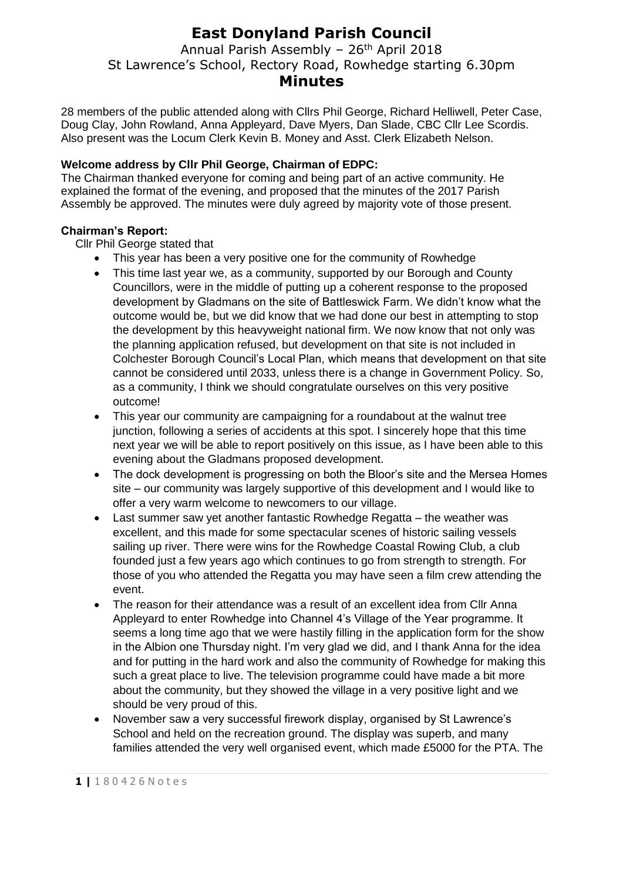Annual Parish Assembly - 26<sup>th</sup> April 2018 St Lawrence's School, Rectory Road, Rowhedge starting 6.30pm **Minutes**

28 members of the public attended along with Cllrs Phil George, Richard Helliwell, Peter Case, Doug Clay, John Rowland, Anna Appleyard, Dave Myers, Dan Slade, CBC Cllr Lee Scordis. Also present was the Locum Clerk Kevin B. Money and Asst. Clerk Elizabeth Nelson.

#### **Welcome address by Cllr Phil George, Chairman of EDPC:**

The Chairman thanked everyone for coming and being part of an active community. He explained the format of the evening, and proposed that the minutes of the 2017 Parish Assembly be approved. The minutes were duly agreed by majority vote of those present.

#### **Chairman's Report:**

Cllr Phil George stated that

- This year has been a very positive one for the community of Rowhedge
- This time last year we, as a community, supported by our Borough and County Councillors, were in the middle of putting up a coherent response to the proposed development by Gladmans on the site of Battleswick Farm. We didn't know what the outcome would be, but we did know that we had done our best in attempting to stop the development by this heavyweight national firm. We now know that not only was the planning application refused, but development on that site is not included in Colchester Borough Council's Local Plan, which means that development on that site cannot be considered until 2033, unless there is a change in Government Policy. So, as a community, I think we should congratulate ourselves on this very positive outcome!
- This year our community are campaigning for a roundabout at the walnut tree junction, following a series of accidents at this spot. I sincerely hope that this time next year we will be able to report positively on this issue, as I have been able to this evening about the Gladmans proposed development.
- The dock development is progressing on both the Bloor's site and the Mersea Homes site – our community was largely supportive of this development and I would like to offer a very warm welcome to newcomers to our village.
- Last summer saw yet another fantastic Rowhedge Regatta the weather was excellent, and this made for some spectacular scenes of historic sailing vessels sailing up river. There were wins for the Rowhedge Coastal Rowing Club, a club founded just a few years ago which continues to go from strength to strength. For those of you who attended the Regatta you may have seen a film crew attending the event.
- The reason for their attendance was a result of an excellent idea from Cllr Anna Appleyard to enter Rowhedge into Channel 4's Village of the Year programme. It seems a long time ago that we were hastily filling in the application form for the show in the Albion one Thursday night. I'm very glad we did, and I thank Anna for the idea and for putting in the hard work and also the community of Rowhedge for making this such a great place to live. The television programme could have made a bit more about the community, but they showed the village in a very positive light and we should be very proud of this.
- November saw a very successful firework display, organised by St Lawrence's School and held on the recreation ground. The display was superb, and many families attended the very well organised event, which made £5000 for the PTA. The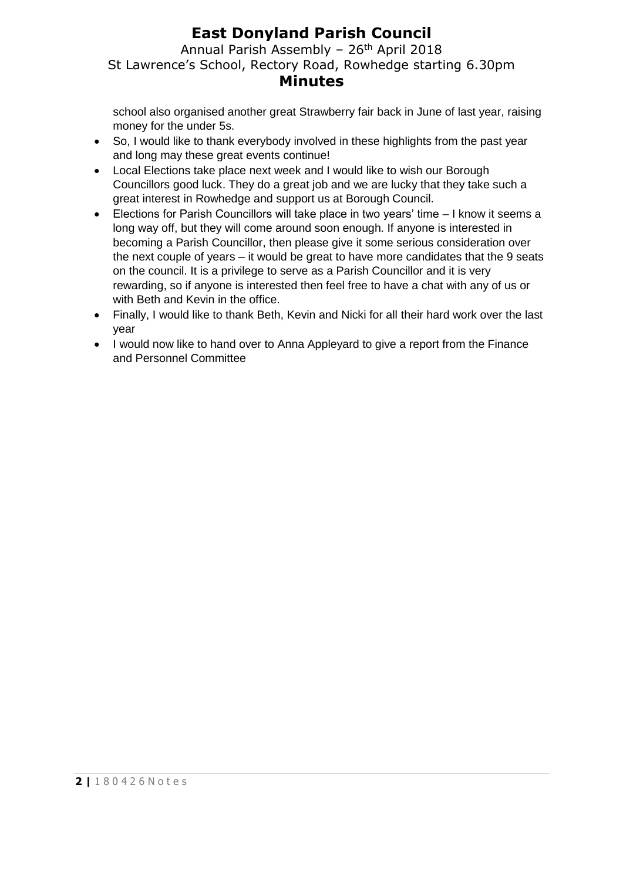Annual Parish Assembly - 26<sup>th</sup> April 2018 St Lawrence's School, Rectory Road, Rowhedge starting 6.30pm **Minutes**

school also organised another great Strawberry fair back in June of last year, raising money for the under 5s.

- So, I would like to thank everybody involved in these highlights from the past year and long may these great events continue!
- Local Elections take place next week and I would like to wish our Borough Councillors good luck. They do a great job and we are lucky that they take such a great interest in Rowhedge and support us at Borough Council.
- Elections for Parish Councillors will take place in two years' time I know it seems a long way off, but they will come around soon enough. If anyone is interested in becoming a Parish Councillor, then please give it some serious consideration over the next couple of years – it would be great to have more candidates that the 9 seats on the council. It is a privilege to serve as a Parish Councillor and it is very rewarding, so if anyone is interested then feel free to have a chat with any of us or with Beth and Kevin in the office.
- Finally, I would like to thank Beth, Kevin and Nicki for all their hard work over the last year
- I would now like to hand over to Anna Appleyard to give a report from the Finance and Personnel Committee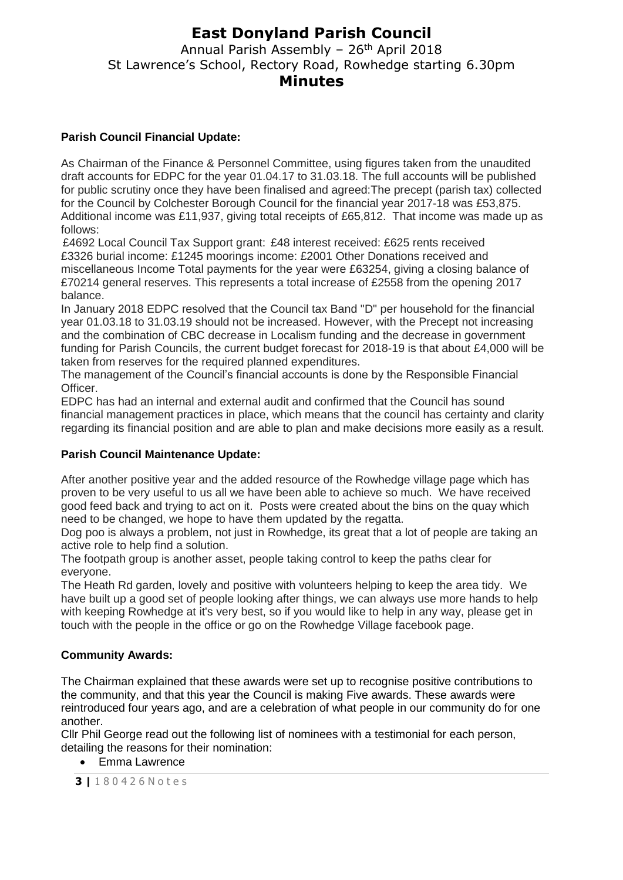Annual Parish Assembly - 26<sup>th</sup> April 2018 St Lawrence's School, Rectory Road, Rowhedge starting 6.30pm **Minutes**

#### **Parish Council Financial Update:**

As Chairman of the Finance & Personnel Committee, using figures taken from the unaudited draft accounts for EDPC for the year 01.04.17 to 31.03.18. The full accounts will be published for public scrutiny once they have been finalised and agreed:The precept (parish tax) collected for the Council by Colchester Borough Council for the financial year 2017-18 was £53,875. Additional income was £11,937, giving total receipts of £65,812. That income was made up as follows:

£4692 Local Council Tax Support grant: £48 interest received: £625 rents received £3326 burial income: £1245 moorings income: £2001 Other Donations received and miscellaneous Income Total payments for the year were £63254, giving a closing balance of £70214 general reserves. This represents a total increase of £2558 from the opening 2017 balance.

In January 2018 EDPC resolved that the Council tax Band "D" per household for the financial year 01.03.18 to 31.03.19 should not be increased. However, with the Precept not increasing and the combination of CBC decrease in Localism funding and the decrease in government funding for Parish Councils, the current budget forecast for 2018-19 is that about £4,000 will be taken from reserves for the required planned expenditures.

The management of the Council's financial accounts is done by the Responsible Financial Officer

EDPC has had an internal and external audit and confirmed that the Council has sound financial management practices in place, which means that the council has certainty and clarity regarding its financial position and are able to plan and make decisions more easily as a result.

#### **Parish Council Maintenance Update:**

After another positive year and the added resource of the Rowhedge village page which has proven to be very useful to us all we have been able to achieve so much. We have received good feed back and trying to act on it. Posts were created about the bins on the quay which need to be changed, we hope to have them updated by the regatta.

Dog poo is always a problem, not just in Rowhedge, its great that a lot of people are taking an active role to help find a solution.

The footpath group is another asset, people taking control to keep the paths clear for everyone.

The Heath Rd garden, lovely and positive with volunteers helping to keep the area tidy. We have built up a good set of people looking after things, we can always use more hands to help with keeping Rowhedge at it's very best, so if you would like to help in any way, please get in touch with the people in the office or go on the Rowhedge Village facebook page.

#### **Community Awards:**

The Chairman explained that these awards were set up to recognise positive contributions to the community, and that this year the Council is making Five awards. These awards were reintroduced four years ago, and are a celebration of what people in our community do for one another.

Cllr Phil George read out the following list of nominees with a testimonial for each person, detailing the reasons for their nomination:

- Emma Lawrence
- **3 |** 1 8 0 4 2 6 N o t e s